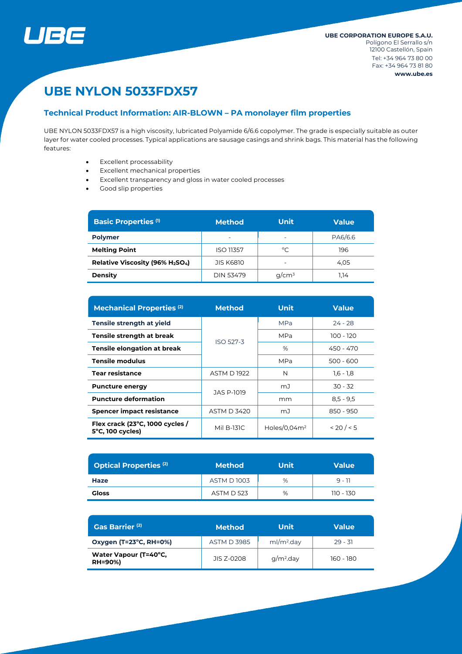

# **UBE NYLON 5033FDX57**

# **Technical Product Information: AIR-BLOWN – PA monolayer film properties**

UBE NYLON 5033FDX57 is a high viscosity, lubricated Polyamide 6/6.6 copolymer. The grade is especially suitable as outer layer for water cooled processes. Typical applications are sausage casings and shrink bags. This material has the following features:

- Excellent processability
- Excellent mechanical properties
- Excellent transparency and gloss in water cooled processes
- Good slip properties

| <b>Basic Properties (1)</b>    | <b>Method</b>    | <b>Unit</b>              | <b>Value</b> |  |
|--------------------------------|------------------|--------------------------|--------------|--|
| <b>Polymer</b>                 | -                | $\overline{\phantom{0}}$ | PA6/6.6      |  |
| <b>Melting Point</b>           | <b>ISO 11357</b> | °C                       | 196          |  |
| Relative Viscosity (96% H2SO4) | <b>JIS K6810</b> | $\overline{\phantom{0}}$ | 4.05         |  |
| <b>Density</b>                 | <b>DIN 53479</b> | $q/cm^3$                 | 1.14         |  |

| <b>Mechanical Properties (2)</b>                              | <b>Method</b>      | <b>Unit</b>     | <b>Value</b> |  |
|---------------------------------------------------------------|--------------------|-----------------|--------------|--|
| <b>Tensile strength at yield</b>                              |                    | <b>MPa</b>      | $24 - 28$    |  |
| Tensile strength at break                                     | <b>ISO 527-3</b>   | MPa             | 100 - 120    |  |
| Tensile elongation at break                                   |                    | %               | 450 - 470    |  |
| Tensile modulus                                               |                    | MPa             | 500 - 600    |  |
| <b>Tear resistance</b>                                        | <b>ASTM D1922</b>  | N               | $1,6 - 1,8$  |  |
| <b>Puncture energy</b>                                        | JAS P-1019         | mJ              | $30 - 32$    |  |
| <b>Puncture deformation</b>                                   |                    | mm              | $8,5 - 9,5$  |  |
| Spencer impact resistance                                     | <b>ASTM D 3420</b> | mJ              | 850 - 950    |  |
| Flex crack (23°C, 1000 cycles /<br>$5^{\circ}$ C, 100 cycles) | Mil B-131C         | Holes/0,04 $m2$ | < 20 / < 5   |  |

| <b>Optical Properties (2)</b> | <b>Method</b>     | <b>Unit</b> | <b>Value</b> |
|-------------------------------|-------------------|-------------|--------------|
| Haze                          | <b>ASTM D1003</b> | %           | $9 - 11$     |
| <b>Gloss</b>                  | <b>ASTM D 523</b> | %           | 110 - 130    |

| Gas Barrier <sup>(2)</sup>              | Method <sub>I</sub> | Unit                   | <b>Value</b> |  |
|-----------------------------------------|---------------------|------------------------|--------------|--|
| Oxygen (T=23°C, RH=0%)                  | <b>ASTM D 3985</b>  | ml/m <sup>2</sup> .day | $29 - 31$    |  |
| Water Vapour (T=40°C,<br><b>RH=90%)</b> | JIS 7-0208          | $q/m2$ .day            | 160 - 180    |  |